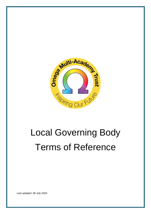

# Local Governing Body Terms of Reference

Last updated: 08 July 2020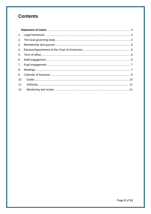## **Contents**

| 3.  |  |
|-----|--|
| 4.  |  |
|     |  |
|     |  |
|     |  |
| 8.  |  |
| 9.  |  |
| 10. |  |
|     |  |
| 12. |  |
|     |  |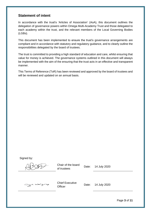#### <span id="page-2-0"></span>**Statement of intent**

In accordance with the trust's 'Articles of Association' (AoA), this document outlines the delegation of governance powers within Omega Multi-Academy Trust and those delegated to each academy within the trust, and the relevant members of the Local Governing Bodies (LGBs).

This document has been implemented to ensure the trust's governance arrangements are compliant and in accordance with statutory and regulatory guidance, and to clearly outline the responsibilities delegated by the board of trustees.

The trust is committed to providing a high standard of education and care, whilst ensuring that value for money is achieved. The governance systems outlined in this document will always be implemented with the aim of the ensuring that the trust acts in an effective and transparent manner.

This Terms of Reference (ToR) has been reviewed and approved by the board of trustees and will be reviewed and updated on an annual basis.

Signed by:

Chair of the board of trustees Date: 14 July 2020

gawizz

Chief Executive Officer Date: 14 July 2020

Page **3** of **11**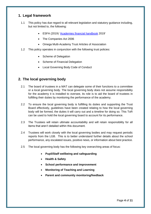#### <span id="page-3-0"></span>**1. Legal framework**

- 1.1 This policy has due regard to all relevant legislation and statutory guidance including, but not limited to, the following:
	- ESFA (2019) ['Academies financial handbook](https://www.gov.uk/guidance/academies-financial-handbook) 2019'
	- The Companies Act 2006
	- Omega Multi-Academy Trust Articles of Association
- 1.2 This policy operates in conjunction with the following trust policies:
	- Scheme of Delegation
	- Scheme of Financial Delegation
	- Local Governing Body Code of Conduct

## <span id="page-3-1"></span>**2. The local governing body**

- 2.1 The board of trustees in a MAT can delegate some of their functions to a committee or a local governing body. The local governing body does not assume responsibility for the academy it is installed to oversee, its role is to aid the board of trustees in fulfilling their duties by monitoring the performance of the academy.
- 2.2 To ensure the local governing body is fulfilling its duties and supporting the Trust Board effectively, guidelines have been created relating to how the local governing body will be formed, the duties it will carry out and a timeline for doing so. This ToR can be used to hold the local governing board to account for its performance.
- 2.3 The Trustees will retain ultimate accountability and will retain responsibility for all items that aren't detailed within this document.
- 2.4 Trustees will work closely with the local governing bodies and may request periodic reports from the LGB. This is to better understand further details about the school performance, any escalated issues, positive news, or information about best practice.
- 2.5 The local governing body has the following key overarching areas of focus:
	- **Pupil/Staff wellbeing and safeguarding**
	- **Health & Safety**
	- **School performance and improvement**
	- **Monitoring of Teaching and Learning**
	- **Parent and community monitoring/feedback**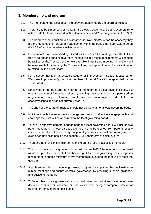#### <span id="page-4-0"></span>**3. Membership and quorum**

- 3.1 The members of the local governing body are appointed by the board of trustees.
- 3.2 There are to be **9** members of the LGB: **5** Co-opted governors, **2** staff governors (one of these staff roles is reserved for the Headteacher), and **2** parent governors (see 3.9).
- 3.3 The Headteacher is entitled to a staff governor role, *ex officio*, for the academy they are the Headteacher for, but a Headteacher within the trust is not permitted to be on the LGB of another academy within the trust.
- 3.4 For a school that is classified by Ofsted as 'Good' or 'Outstanding', then the LGB is free to co-opt and appoint governors themselves, but these appointments will need to be ratified by the Trustees at the next available Trust Board meeting. The Clerk will be responsible for informing the Trustees of any new appointments, for ratification, or rejection, by the Trust Board.
- 3.5 For a school that is in an Ofsted category for improvement ('Special Measures' or 'Requires Improvement'), then the members of the LGB are to be appointed by the Trust Board.
- 3.6 Employees of the trust are permitted to be members of a local governing body, but only a maximum of 2 members of staff (including the Headteacher) are permitted on a governing body. However, employees are encouraged to do it for an academy/school they do not currently work in.
- 3.7 The chair of the board of trustees should not be the chair of a local governing body.
- 3.8 Individuals with the requisite knowledge and skills to effectively engage with and challenge the trust will be appointed to the local governing board.
- 3.9 To ensure effective parental engagement, the local governing board will include two parent governors. These parent governors are to be elected from parents of any children currently in the academy. A parent governor can continue as a governor, even after their child has left the academy, until their term of office expires.
- 3.10 There are no provisions in this Terms of Reference for any associate members.
- 3.11 The quorum of the local governing board will be one half of the numbers of the board rounded up to the nearest full number  $-$  e.g. if the local governing body comprises nine members, then a minimum of five members must attend the meeting to meet the quorum.
- 3.12 A professional clerk to the local governing body will be appointed by the Trustees to minute meetings and ensure effective governance, by providing support, guidance, and advice to the board.
- 3.13 To be eligible to be a governor a person must have no convictions, have never been declared bankrupt or insolvent, or disqualified from being a company director or trustee, or removed from public office.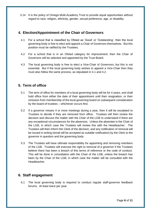3.14 It is the policy of Omega Multi-Academy Trust to provide equal opportunities without regard to race, religion, ethnicity, gender, sexual preference, age, or disability.

#### <span id="page-5-0"></span>**4. Election/Appointment of the Chair of Governors**

- 4.1 For a school that is classified by Ofsted as 'Good' or 'Outstanding', then the local governing body is free to elect and appoint a Chair of Governors themselves. But this position must be ratified by the Trustees.
- 4.2 For a school that is in an Ofsted category for improvement, then the Chair of Governors will be selected and appointed by the Trust Board.
- 4.3 The local governing body is free to elect a Vice-Chair of Governors, but this is not essential. But if the local governing body wishes to appoint a Vice-Chair then they must also follow the same process, as stipulated in 4.1 and 4.2.

## <span id="page-5-1"></span>**5. Term of office**

- 5.1 The term of office for members of a local governing body will be for 4 years, and shall hold office from either the date of their appointment until their resignation, or their omission from membership of the local governing board on subsequent consideration by the board of trustees – whichever occurs first.
- 5.2 If a governor misses 4 or more meetings during a year, then it will be escalated to Trustees to decide if they are removed from office. Trustees will then review the decision and discuss the matter with the Chair of the LGB to understand if there are any exceptional circumstances for the absences. Unless the absentee is the Chair of the LGB, in which case the Trustees will review this with the Headteacher. The Trustees will then inform the Clerk of the decision, and any notification of removal will be issued in writing (email will be accepted as suitable notification) by the Clerk to the governor in question and the governing body.
- 5.3 The Trustees will have ultimate responsibility for appointing and removing members of the LGB. Trustees will exercise the right to removal of a governor if the Trustees believe there has been a breach of this terms of reference or the code of conduct. This will be done in consultation with the Chair of the LGB, unless the breach has been by the Chair of the LGB, in which case the matter will be consulted with the Headteacher.

## <span id="page-5-2"></span>**6. Staff engagement**

6.1 The local governing body is required to conduct regular staff-governor feedback forums. At least twice per year.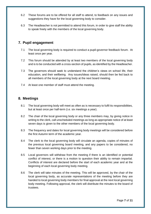- 6.2 These forums are to be offered for all staff to attend, to feedback on any issues and suggestions they have for the local governing body to consider.
- 6.3 The Headteacher is not permitted to attend this forum, in order to give staff the ability to speak freely with the members of the local governing body.

#### <span id="page-6-0"></span>**7. Pupil engagement**

- 7.1 The local governing body is required to conduct a pupil-governor feedback forum. At least once per year.
- 7.2 This forum should be attended by at least two members of the local governing body and is to be conducted with a cross-section of pupils, as identified by the Headteacher.
- 7.3 The governors should seek to understand the children's views on school life, their education, and their wellbeing. Any issues/ideas raised, should then be fed back to all members of the local governing body at the next board meeting.
- 7.4 At least one member of staff must attend the meeting.

#### <span id="page-6-1"></span>**8. Meetings**

- 8.1 The local governing body will meet as often as is necessary to fulfil its responsibilities, but at least once per half-term (i.e. six meetings a year).
- 8.2 The chair of the local governing body or any three members may, by giving notice in writing to the clerk, call unscheduled meetings as long as appropriate notice of at least seven days is given to the other members of the local governing body.
- 8.3 The frequency and dates for local governing body meetings will be considered before the first Autumn term of the academic year.
- 8.4 The clerk to the local governing body will circulate an agenda, copies of minutes of the previous local governing board meeting, and any papers to be considered, no fewer than seven working days prior to the meeting.
- 8.5 Local governors will withdraw from the meeting if there is an identified or potential conflict of interest, or there is a motion to question their ability to remain impartial. Conflicts of interest are declared before the start of each academic year and at the beginning of each local governing body meeting.
- 8.6 The clerk will take minutes of the meeting. This will be approved, by the chair of the local governing body, as accurate representations of the meeting before they are handed to local governing body members for final approval at the next local governing body meeting. Following approval, the clerk will distribute the minutes to the board of trustees.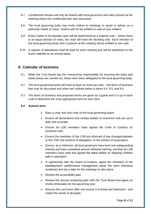- 8.7 Confidential minutes will only be shared with local governors who were present at the meeting where the confidential item was discussed.
- 8.8 The local governing body may invite visitors to meetings to assist or advise on a particular matter or issue. Visitors will not be entitled to vote on any matters.
- 8.9 Every matter to be decided upon will be determined by a majority vote where there is an equal division of votes, the chair will have the deciding vote. Each member of the local governing body who is present at the meeting will be entitled to one vote.
- 8.10 A register of attendance shall be kept for each meeting and will be published on the trust's website on an annual basis.

#### <span id="page-7-0"></span>**9. Calendar of business**

- 9.1 While the Trust Board has the overarching responsibility for ensuring the tasks and duties below are carried out, these have been delegated to the local governing body.
- 9.2 The local governing board will meet at least six times per year the items of business that may be discussed and when are outlined below in items 9.4, 9.5, and 9.6.
- 9.3 The items of business and proposed terms are given as a guide and it is up to each LGB to determine the most appropriate term for each item.

#### **9.4 Autumn term**

- Elect a chair and vice chair of the local governing board.
- Ensure all declarations and contact details on Governor Hub are up to date and accurate.
- Ensure all LGB members have signed the Code of Conduct on Governor Hub.
- Ensure the members of the LGB are informed of any changes/updates to this ToR, the scheme of delegation, or the articles of association.
- Ensure, as a minimum, all local governors have level one safeguarding training and have completed annual refresher training, and that all LGB members have read and signed the latest edition of 'Keeping children safe in education'.
- In partnership with the board of trustees, agree the members of the headteachers' performance management panel (for each individual academy) and set a date for the meetings to take place.
- Review the accessibility plan.
- Review the annual monitoring plan with the Trust Board and agree on review timescales for the upcoming year.
- Discuss the curriculum offer and ensure it is broad and balanced and meets the needs of all pupils.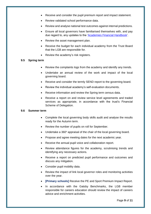- Receive and consider the pupil premium report and impact statement.
- Review validated school performance data.
- Review and analyse national test outcomes against internal predictions.
- Ensure all local governors have familiarised themselves with, and pay due regard to, any updates to the ['Academies Financial Handbook'](https://www.gov.uk/guidance/academies-financial-handbook).
- Review the asset management plan.
- Receive the budget for each individual academy from the Trust Board that the LGB are responsible for.
- Review the academy's risk registers.

#### **9.5 Spring term**

- Review the complaints logs from the academy and identify any trends.
- Undertake an annual review of the work and impact of the local governing board.
- Receive and consider the termly SEND report to the governing board.
- Review the individual academy's self-evaluation documents.
- Receive information and review the Spring term census data.
- Receive a report on and review service level agreements and traded services as appropriate, in accordance with the trust's Financial Scheme of Delegation.

#### **9.6 Summer term**

- Complete the local governing body skills audit and analyse the results ready for the Autumn term.
- Review the number of pupils on roll for September.
- Undertake a 360° appraisal of the chair of the local governing board.
- Propose and agree meeting dates for the next academic year.
- Receive the annual pupil voice and collaboration report.
- Review attendance figures for the academy, scrutinising trends and identifying any necessary actions.
- Receive a report on predicted pupil performance and outcomes and discuss any mitigation.
- Consider pupil mobility data.
- Review the impact of link local governor roles and monitoring activities over the year.
- **Firmary schools]** Receive the PE and Sport Premium Impact Report.
- In accordance with the Gatsby Benchmarks, the LGB member responsible for careers education should review the impact of careers advice and enrichment activities.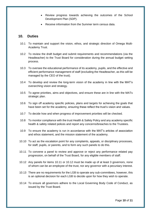- Review progress towards achieving the outcomes of the School Development Plan (SDP).
- Receive information from the Summer term census data.

#### <span id="page-9-0"></span>**10. Duties**

- 10.1 To maintain and support the vision, ethos, and strategic direction of Omega Multi-Academy Trust.
- 10.2 To review the draft budget and submit requirements and recommendations (via the Headteacher) to the Trust Board for consideration during the annual budget setting process.
- 10.3 To oversee the educational performance of its academy, pupils, and the effective and efficient performance management of staff (excluding the Headteacher, as this will be managed by the CEO of the trust).
- 10.4 To develop and review the long-term vision of the academy in line with the MAT's overarching vision and strategy.
- 10.5 To agree priorities, aims and objectives, and ensure these are in line with the MATs strategic plan.
- 10.6 To sign off academy specific policies, plans and targets for achieving the goals that have been set for the academy, ensuring these reflect the trust's vision and values.
- 10.7 To decide how and when progress of improvement priorities will be checked.
- 10.8 To monitor compliance with the trust Health & Safety Policy and any academy specific health & safety related polices and report any concerns/breaches to the Trustees.
- 10.9 To ensure the academy is run in accordance with the MAT's articles of association and ethos statement, and the mission statement of the academy.
- 10.10 To act as the escalation point for any complaints, appeals, or disciplinary processes, for staff, pupils, or parents, and to form any such panels to do this.
- 10.11 To convene a panel to review and approve or reject any performance related pay progression, on behalf of the Trust Board, for any eligible members of staff.
- 10.12 Any panels for items 10.11 or 10.12 must be made up of at least 3 governors, none of whom can be an employee of the trust, nor any governor with a pecuniary interest.
- 10.13 There are no requirements for the LGB to operate any sub-committees, however, this is an optional decision for each LGB to decide upon for how they wish to operate.
- 10.14 To ensure all governors adhere to the Local Governing Body Code of Conduct, as issued by the Trust Board.